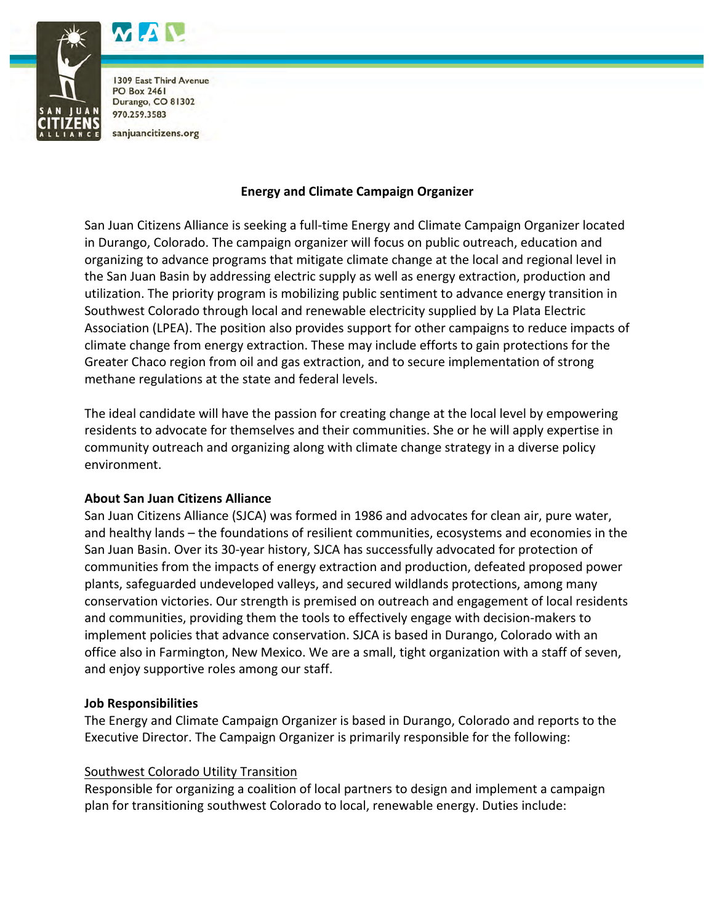

1309 East Third Avenue **PO Box 2461** Durango, CO 81302 970.259.3583 sanjuancitizens.org

## **Energy and Climate Campaign Organizer**

San Juan Citizens Alliance is seeking a full-time Energy and Climate Campaign Organizer located in Durango, Colorado. The campaign organizer will focus on public outreach, education and organizing to advance programs that mitigate climate change at the local and regional level in the San Juan Basin by addressing electric supply as well as energy extraction, production and utilization. The priority program is mobilizing public sentiment to advance energy transition in Southwest Colorado through local and renewable electricity supplied by La Plata Electric Association (LPEA). The position also provides support for other campaigns to reduce impacts of climate change from energy extraction. These may include efforts to gain protections for the Greater Chaco region from oil and gas extraction, and to secure implementation of strong methane regulations at the state and federal levels.

The ideal candidate will have the passion for creating change at the local level by empowering residents to advocate for themselves and their communities. She or he will apply expertise in community outreach and organizing along with climate change strategy in a diverse policy environment.

## **About San Juan Citizens Alliance**

San Juan Citizens Alliance (SJCA) was formed in 1986 and advocates for clean air, pure water, and healthy lands – the foundations of resilient communities, ecosystems and economies in the San Juan Basin. Over its 30-year history, SJCA has successfully advocated for protection of communities from the impacts of energy extraction and production, defeated proposed power plants, safeguarded undeveloped valleys, and secured wildlands protections, among many conservation victories. Our strength is premised on outreach and engagement of local residents and communities, providing them the tools to effectively engage with decision-makers to implement policies that advance conservation. SJCA is based in Durango, Colorado with an office also in Farmington, New Mexico. We are a small, tight organization with a staff of seven, and enjoy supportive roles among our staff.

## **Job Responsibilities**

The Energy and Climate Campaign Organizer is based in Durango, Colorado and reports to the Executive Director. The Campaign Organizer is primarily responsible for the following:

## Southwest Colorado Utility Transition

Responsible for organizing a coalition of local partners to design and implement a campaign plan for transitioning southwest Colorado to local, renewable energy. Duties include: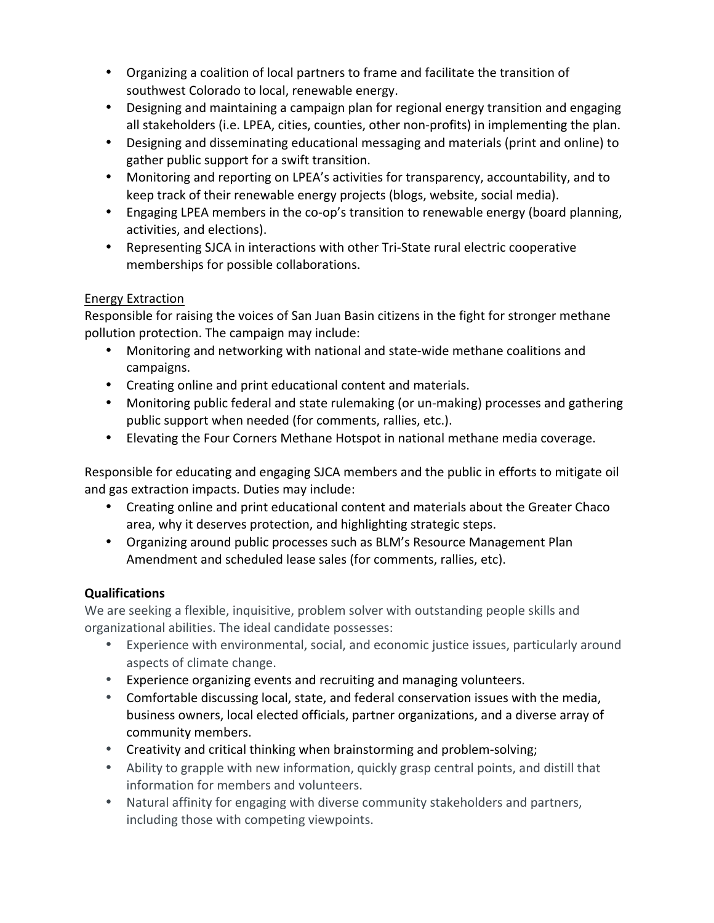- Organizing a coalition of local partners to frame and facilitate the transition of southwest Colorado to local, renewable energy.
- Designing and maintaining a campaign plan for regional energy transition and engaging all stakeholders (i.e. LPEA, cities, counties, other non-profits) in implementing the plan.
- Designing and disseminating educational messaging and materials (print and online) to gather public support for a swift transition.
- Monitoring and reporting on LPEA's activities for transparency, accountability, and to keep track of their renewable energy projects (blogs, website, social media).
- Engaging LPEA members in the co-op's transition to renewable energy (board planning, activities, and elections).
- Representing SJCA in interactions with other Tri-State rural electric cooperative memberships for possible collaborations.

# Energy Extraction

Responsible for raising the voices of San Juan Basin citizens in the fight for stronger methane pollution protection. The campaign may include:

- Monitoring and networking with national and state-wide methane coalitions and campaigns.
- Creating online and print educational content and materials.
- Monitoring public federal and state rulemaking (or un-making) processes and gathering public support when needed (for comments, rallies, etc.).
- Elevating the Four Corners Methane Hotspot in national methane media coverage.

Responsible for educating and engaging SJCA members and the public in efforts to mitigate oil and gas extraction impacts. Duties may include:

- Creating online and print educational content and materials about the Greater Chaco area, why it deserves protection, and highlighting strategic steps.
- Organizing around public processes such as BLM's Resource Management Plan Amendment and scheduled lease sales (for comments, rallies, etc).

# **Qualifications**

We are seeking a flexible, inquisitive, problem solver with outstanding people skills and organizational abilities. The ideal candidate possesses:

- Experience with environmental, social, and economic justice issues, particularly around aspects of climate change.
- Experience organizing events and recruiting and managing volunteers.
- Comfortable discussing local, state, and federal conservation issues with the media, business owners, local elected officials, partner organizations, and a diverse array of community members.
- Creativity and critical thinking when brainstorming and problem-solving;
- Ability to grapple with new information, quickly grasp central points, and distill that information for members and volunteers.
- Natural affinity for engaging with diverse community stakeholders and partners, including those with competing viewpoints.